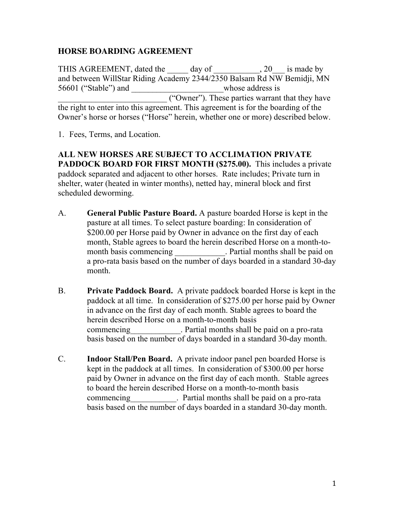# **HORSE BOARDING AGREEMENT**

THIS AGREEMENT, dated the day of the end of the same by and between WillStar Riding Academy 2344/2350 Balsam Rd NW Bemidji, MN 56601 ("Stable") and whose address is \_\_\_\_\_\_\_\_\_\_\_\_\_\_\_\_\_\_\_\_\_\_\_\_\_\_ ("Owner"). These parties warrant that they have the right to enter into this agreement. This agreement is for the boarding of the Owner's horse or horses ("Horse" herein, whether one or more) described below.

1. Fees, Terms, and Location.

**ALL NEW HORSES ARE SUBJECT TO ACCLIMATION PRIVATE PADDOCK BOARD FOR FIRST MONTH (\$275.00).** This includes a private paddock separated and adjacent to other horses. Rate includes; Private turn in shelter, water (heated in winter months), netted hay, mineral block and first scheduled deworming.

- A. **General Public Pasture Board.** A pasture boarded Horse is kept in the pasture at all times. To select pasture boarding: In consideration of \$200.00 per Horse paid by Owner in advance on the first day of each month, Stable agrees to board the herein described Horse on a month-tomonth basis commencing Fartial months shall be paid on a pro-rata basis based on the number of days boarded in a standard 30-day month.
- B. **Private Paddock Board.** A private paddock boarded Horse is kept in the paddock at all time. In consideration of \$275.00 per horse paid by Owner in advance on the first day of each month. Stable agrees to board the herein described Horse on a month-to-month basis commencing expansion of Partial months shall be paid on a pro-rata basis based on the number of days boarded in a standard 30-day month.
- C. **Indoor Stall/Pen Board.** A private indoor panel pen boarded Horse is kept in the paddock at all times. In consideration of \$300.00 per horse paid by Owner in advance on the first day of each month. Stable agrees to board the herein described Horse on a month-to-month basis commencing extending the Partial months shall be paid on a pro-rata basis based on the number of days boarded in a standard 30-day month.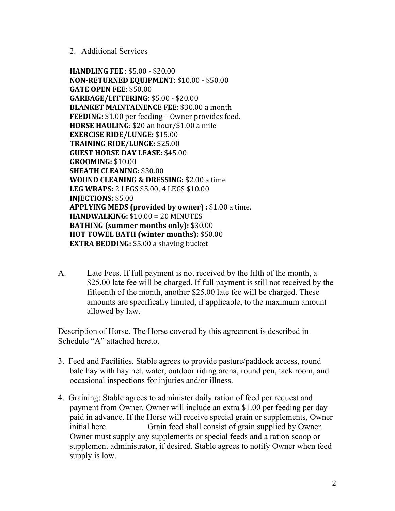2. Additional Services

**HANDLING FEE** : \$5.00 - \$20.00 **NON-RETURNED EQUIPMENT: \$10.00 - \$50.00 GATE OPEN FEE: \$50.00 GARBAGE/LITTERING**: \$5.00 - \$20.00 **BLANKET MAINTAINENCE FEE: \$30.00 a month FEEDING:** \$1.00 per feeding – Owner provides feed. **HORSE HAULING**: \$20 an hour/\$1.00 a mile **EXERCISE RIDE/LUNGE: \$15.00 TRAINING RIDE/LUNGE:** \$25.00 **GUEST HORSE DAY LEASE: \$45.00 GROOMING:** \$10.00 **SHEATH CLEANING:** \$30.00 **WOUND CLEANING & DRESSING: \$2.00 a time LEG WRAPS:** 2 LEGS \$5.00, 4 LEGS \$10.00 **INJECTIONS:** \$5.00 **APPLYING MEDS (provided by owner)**: \$1.00 a time.  $HANDWALKING: $10.00 = 20$  MINUTES **BATHING** (summer months only): \$30.00 **HOT TOWEL BATH (winter months): \$50.00 EXTRA BEDDING:** \$5.00 a shaving bucket

A. Late Fees. If full payment is not received by the fifth of the month, a \$25.00 late fee will be charged. If full payment is still not received by the fifteenth of the month, another \$25.00 late fee will be charged. These amounts are specifically limited, if applicable, to the maximum amount allowed by law.

Description of Horse. The Horse covered by this agreement is described in Schedule "A" attached hereto.

- 3. Feed and Facilities. Stable agrees to provide pasture/paddock access, round bale hay with hay net, water, outdoor riding arena, round pen, tack room, and occasional inspections for injuries and/or illness.
- 4. Graining: Stable agrees to administer daily ration of feed per request and payment from Owner. Owner will include an extra \$1.00 per feeding per day paid in advance. If the Horse will receive special grain or supplements, Owner initial here. Grain feed shall consist of grain supplied by Owner. Owner must supply any supplements or special feeds and a ration scoop or supplement administrator, if desired. Stable agrees to notify Owner when feed supply is low.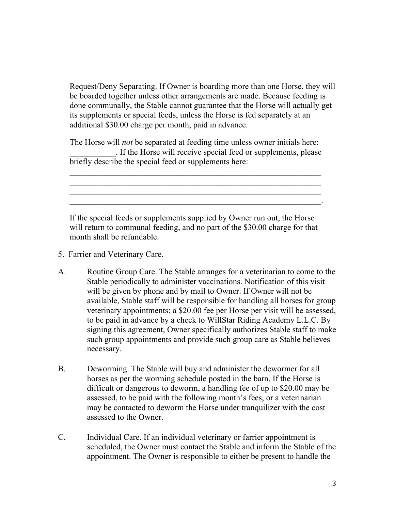Request/Deny Separating. If Owner is boarding more than one Horse, they will be boarded together unless other arrangements are made. Because feeding is done communally, the Stable cannot guarantee that the Horse will actually get its supplements or special feeds, unless the Horse is fed separately at an additional \$30.00 charge per month, paid in advance.

The Horse will *not* be separated at feeding time unless owner initials here: \_\_\_\_\_\_\_\_\_\_\_. If the Horse will receive special feed or supplements, please briefly describe the special feed or supplements here:

If the special feeds or supplements supplied by Owner run out, the Horse will return to communal feeding, and no part of the \$30.00 charge for that month shall be refundable.

 $\mathcal{L}_\text{max} = \mathcal{L}_\text{max} = \mathcal{L}_\text{max} = \mathcal{L}_\text{max} = \mathcal{L}_\text{max} = \mathcal{L}_\text{max} = \mathcal{L}_\text{max} = \mathcal{L}_\text{max} = \mathcal{L}_\text{max} = \mathcal{L}_\text{max} = \mathcal{L}_\text{max} = \mathcal{L}_\text{max} = \mathcal{L}_\text{max} = \mathcal{L}_\text{max} = \mathcal{L}_\text{max} = \mathcal{L}_\text{max} = \mathcal{L}_\text{max} = \mathcal{L}_\text{max} = \mathcal{$ 

- 5. Farrier and Veterinary Care.
- A. Routine Group Care. The Stable arranges for a veterinarian to come to the Stable periodically to administer vaccinations. Notification of this visit will be given by phone and by mail to Owner. If Owner will not be available, Stable staff will be responsible for handling all horses for group veterinary appointments; a \$20.00 fee per Horse per visit will be assessed, to be paid in advance by a check to WillStar Riding Academy L.L.C. By signing this agreement, Owner specifically authorizes Stable staff to make such group appointments and provide such group care as Stable believes necessary.
- B. Deworming. The Stable will buy and administer the dewormer for all horses as per the worming schedule posted in the barn. If the Horse is difficult or dangerous to deworm, a handling fee of up to \$20.00 may be assessed, to be paid with the following month's fees, or a veterinarian may be contacted to deworm the Horse under tranquilizer with the cost assessed to the Owner.
- C. Individual Care. If an individual veterinary or farrier appointment is scheduled, the Owner must contact the Stable and inform the Stable of the appointment. The Owner is responsible to either be present to handle the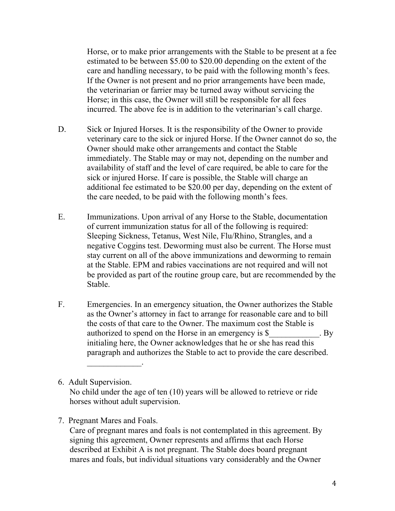Horse, or to make prior arrangements with the Stable to be present at a fee estimated to be between \$5.00 to \$20.00 depending on the extent of the care and handling necessary, to be paid with the following month's fees. If the Owner is not present and no prior arrangements have been made, the veterinarian or farrier may be turned away without servicing the Horse; in this case, the Owner will still be responsible for all fees incurred. The above fee is in addition to the veterinarian's call charge.

- D. Sick or Injured Horses. It is the responsibility of the Owner to provide veterinary care to the sick or injured Horse. If the Owner cannot do so, the Owner should make other arrangements and contact the Stable immediately. The Stable may or may not, depending on the number and availability of staff and the level of care required, be able to care for the sick or injured Horse. If care is possible, the Stable will charge an additional fee estimated to be \$20.00 per day, depending on the extent of the care needed, to be paid with the following month's fees.
- E. Immunizations. Upon arrival of any Horse to the Stable, documentation of current immunization status for all of the following is required: Sleeping Sickness, Tetanus, West Nile, Flu/Rhino, Strangles, and a negative Coggins test. Deworming must also be current. The Horse must stay current on all of the above immunizations and deworming to remain at the Stable. EPM and rabies vaccinations are not required and will not be provided as part of the routine group care, but are recommended by the Stable.
- F. Emergencies. In an emergency situation, the Owner authorizes the Stable as the Owner's attorney in fact to arrange for reasonable care and to bill the costs of that care to the Owner. The maximum cost the Stable is authorized to spend on the Horse in an emergency is \$ The By initialing here, the Owner acknowledges that he or she has read this paragraph and authorizes the Stable to act to provide the care described.

## 6. Adult Supervision.

No child under the age of ten (10) years will be allowed to retrieve or ride horses without adult supervision.

## 7. Pregnant Mares and Foals.

 $\mathcal{L}_\text{max}$ 

Care of pregnant mares and foals is not contemplated in this agreement. By signing this agreement, Owner represents and affirms that each Horse described at Exhibit A is not pregnant. The Stable does board pregnant mares and foals, but individual situations vary considerably and the Owner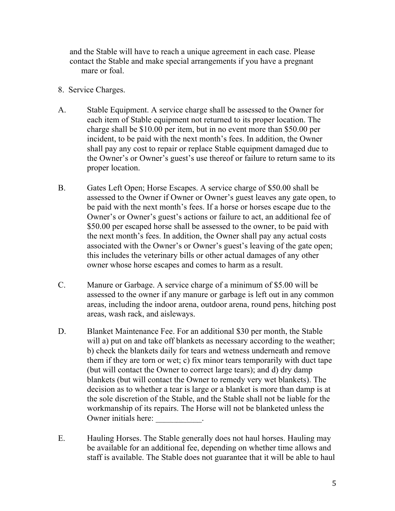and the Stable will have to reach a unique agreement in each case. Please contact the Stable and make special arrangements if you have a pregnant mare or foal.

- 8. Service Charges.
- A. Stable Equipment. A service charge shall be assessed to the Owner for each item of Stable equipment not returned to its proper location. The charge shall be \$10.00 per item, but in no event more than \$50.00 per incident, to be paid with the next month's fees. In addition, the Owner shall pay any cost to repair or replace Stable equipment damaged due to the Owner's or Owner's guest's use thereof or failure to return same to its proper location.
- B. Gates Left Open; Horse Escapes. A service charge of \$50.00 shall be assessed to the Owner if Owner or Owner's guest leaves any gate open, to be paid with the next month's fees. If a horse or horses escape due to the Owner's or Owner's guest's actions or failure to act, an additional fee of \$50.00 per escaped horse shall be assessed to the owner, to be paid with the next month's fees. In addition, the Owner shall pay any actual costs associated with the Owner's or Owner's guest's leaving of the gate open; this includes the veterinary bills or other actual damages of any other owner whose horse escapes and comes to harm as a result.
- C. Manure or Garbage. A service charge of a minimum of \$5.00 will be assessed to the owner if any manure or garbage is left out in any common areas, including the indoor arena, outdoor arena, round pens, hitching post areas, wash rack, and aisleways.
- D. Blanket Maintenance Fee. For an additional \$30 per month, the Stable will a) put on and take off blankets as necessary according to the weather; b) check the blankets daily for tears and wetness underneath and remove them if they are torn or wet; c) fix minor tears temporarily with duct tape (but will contact the Owner to correct large tears); and d) dry damp blankets (but will contact the Owner to remedy very wet blankets). The decision as to whether a tear is large or a blanket is more than damp is at the sole discretion of the Stable, and the Stable shall not be liable for the workmanship of its repairs. The Horse will not be blanketed unless the Owner initials here:
- E. Hauling Horses. The Stable generally does not haul horses. Hauling may be available for an additional fee, depending on whether time allows and staff is available. The Stable does not guarantee that it will be able to haul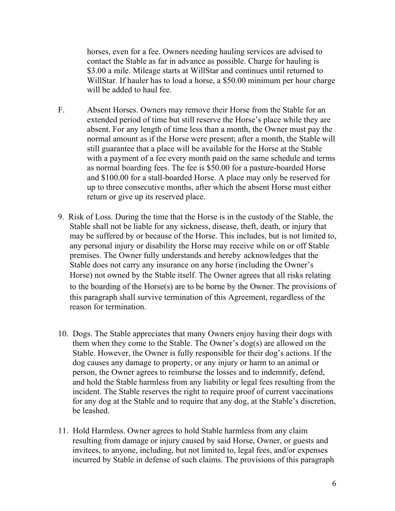horses, even for a fee. Owners needing hauling services are advised to contact the Stable as far in advance as possible. Charge for hauling is \$3.00 a mile. Mileage starts at WillStar and continues until returned to WillStar. If hauler has to load a horse, a \$50.00 minimum per hour charge will be added to haul fee.

- F. Absent Horses. Owners may remove their Horse from the Stable for an extended period of time but still reserve the Horse's place while they are absent. For any length of time less than a month, the Owner must pay the normal amount as if the Horse were present; after a month, the Stable will still guarantee that a place will be available for the Horse at the Stable with a payment of a fee every month paid on the same schedule and terms as normal boarding fees. The fee is \$50.00 for a pasture-boarded Horse and \$100.00 for a stall-boarded Horse. A place may only be reserved for up to three consecutive months, after which the absent Horse must either return or give up its reserved place.
- 9. Risk of Loss. During the time that the Horse is in the custody of the Stable, the Stable shall not be liable for any sickness, disease, theft, death, or injury that may be suffered by or because of the Horse. This includes, but is not limited to, any personal injury or disability the Horse may receive while on or off Stable premises. The Owner fully understands and hereby acknowledges that the Stable does not carry any insurance on any horse (including the Owner's Horse) not owned by the Stable itself. The Owner agrees that all risks relating to the boarding of the Horse(s) are to be borne by the Owner. The provisions of this paragraph shall survive termination of this Agreement, regardless of the reason for termination.
- 10. Dogs. The Stable appreciates that many Owners enjoy having their dogs with them when they come to the Stable. The Owner's dog(s) are allowed on the Stable. However, the Owner is fully responsible for their dog's actions. If the dog causes any damage to property, or any injury or harm to an animal or person, the Owner agrees to reimburse the losses and to indemnify, defend, and hold the Stable harmless from any liability or legal fees resulting from the incident. The Stable reserves the right to require proof of current vaccinations for any dog at the Stable and to require that any dog, at the Stable's discretion, be leashed.
- 11. Hold Harmless. Owner agrees to hold Stable harmless from any claim resulting from damage or injury caused by said Horse, Owner, or guests and invitees, to anyone, including, but not limited to, legal fees, and/or expenses incurred by Stable in defense of such claims. The provisions of this paragraph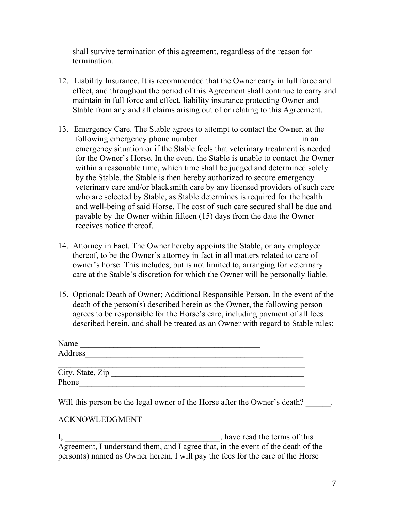shall survive termination of this agreement, regardless of the reason for termination.

- 12. Liability Insurance. It is recommended that the Owner carry in full force and effect, and throughout the period of this Agreement shall continue to carry and maintain in full force and effect, liability insurance protecting Owner and Stable from any and all claims arising out of or relating to this Agreement.
- 13. Emergency Care. The Stable agrees to attempt to contact the Owner, at the following emergency phone number \_\_\_\_\_\_\_\_\_\_\_\_\_\_\_\_\_\_\_\_\_\_\_\_ in an emergency situation or if the Stable feels that veterinary treatment is needed for the Owner's Horse. In the event the Stable is unable to contact the Owner within a reasonable time, which time shall be judged and determined solely by the Stable, the Stable is then hereby authorized to secure emergency veterinary care and/or blacksmith care by any licensed providers of such care who are selected by Stable, as Stable determines is required for the health and well-being of said Horse. The cost of such care secured shall be due and payable by the Owner within fifteen (15) days from the date the Owner receives notice thereof.
- 14. Attorney in Fact. The Owner hereby appoints the Stable, or any employee thereof, to be the Owner's attorney in fact in all matters related to care of owner's horse. This includes, but is not limited to, arranging for veterinary care at the Stable's discretion for which the Owner will be personally liable.
- 15. Optional: Death of Owner; Additional Responsible Person. In the event of the death of the person(s) described herein as the Owner, the following person agrees to be responsible for the Horse's care, including payment of all fees described herein, and shall be treated as an Owner with regard to Stable rules:

| Name    |  |  |  |
|---------|--|--|--|
| Address |  |  |  |
|         |  |  |  |

| City, State, Zip |  |
|------------------|--|
| Phone            |  |

Will this person be the legal owner of the Horse after the Owner's death?

# ACKNOWLEDGMENT

I, have read the terms of this Agreement, I understand them, and I agree that, in the event of the death of the person(s) named as Owner herein, I will pay the fees for the care of the Horse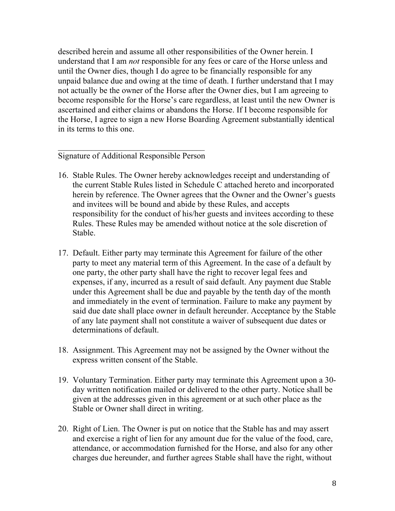described herein and assume all other responsibilities of the Owner herein. I understand that I am *not* responsible for any fees or care of the Horse unless and until the Owner dies, though I do agree to be financially responsible for any unpaid balance due and owing at the time of death. I further understand that I may not actually be the owner of the Horse after the Owner dies, but I am agreeing to become responsible for the Horse's care regardless, at least until the new Owner is ascertained and either claims or abandons the Horse. If I become responsible for the Horse, I agree to sign a new Horse Boarding Agreement substantially identical in its terms to this one.

### Signature of Additional Responsible Person

- 16. Stable Rules. The Owner hereby acknowledges receipt and understanding of the current Stable Rules listed in Schedule C attached hereto and incorporated herein by reference. The Owner agrees that the Owner and the Owner's guests and invitees will be bound and abide by these Rules, and accepts responsibility for the conduct of his/her guests and invitees according to these Rules. These Rules may be amended without notice at the sole discretion of Stable.
- 17. Default. Either party may terminate this Agreement for failure of the other party to meet any material term of this Agreement. In the case of a default by one party, the other party shall have the right to recover legal fees and expenses, if any, incurred as a result of said default. Any payment due Stable under this Agreement shall be due and payable by the tenth day of the month and immediately in the event of termination. Failure to make any payment by said due date shall place owner in default hereunder. Acceptance by the Stable of any late payment shall not constitute a waiver of subsequent due dates or determinations of default.
- 18. Assignment. This Agreement may not be assigned by the Owner without the express written consent of the Stable.
- 19. Voluntary Termination. Either party may terminate this Agreement upon a 30 day written notification mailed or delivered to the other party. Notice shall be given at the addresses given in this agreement or at such other place as the Stable or Owner shall direct in writing.
- 20. Right of Lien. The Owner is put on notice that the Stable has and may assert and exercise a right of lien for any amount due for the value of the food, care, attendance, or accommodation furnished for the Horse, and also for any other charges due hereunder, and further agrees Stable shall have the right, without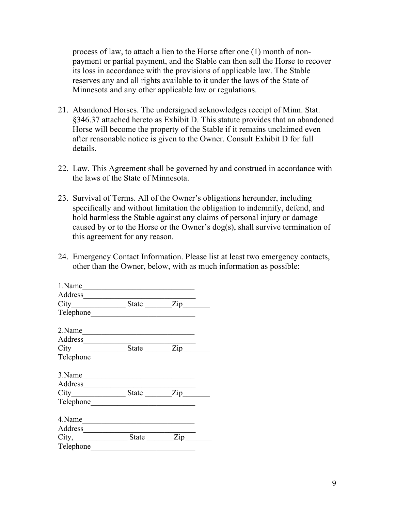process of law, to attach a lien to the Horse after one (1) month of nonpayment or partial payment, and the Stable can then sell the Horse to recover its loss in accordance with the provisions of applicable law. The Stable reserves any and all rights available to it under the laws of the State of Minnesota and any other applicable law or regulations.

- 21. Abandoned Horses. The undersigned acknowledges receipt of Minn. Stat. §346.37 attached hereto as Exhibit D. This statute provides that an abandoned Horse will become the property of the Stable if it remains unclaimed even after reasonable notice is given to the Owner. Consult Exhibit D for full details.
- 22. Law. This Agreement shall be governed by and construed in accordance with the laws of the State of Minnesota.
- 23. Survival of Terms. All of the Owner's obligations hereunder, including specifically and without limitation the obligation to indemnify, defend, and hold harmless the Stable against any claims of personal injury or damage caused by or to the Horse or the Owner's dog(s), shall survive termination of this agreement for any reason.
- 24. Emergency Contact Information. Please list at least two emergency contacts, other than the Owner, below, with as much information as possible:

| 1.Name                                             |                                                                                                                       |           |  |
|----------------------------------------------------|-----------------------------------------------------------------------------------------------------------------------|-----------|--|
| Address                                            |                                                                                                                       |           |  |
| City_______________________State ___________Zip___ |                                                                                                                       |           |  |
| Telephone                                          |                                                                                                                       |           |  |
| 2.Name                                             | <u> 1989 - Johann John Stone, markin sanat masjid a shekara ta 1989 - Johann Stone, masjid a shekara ta 1980 - Jo</u> |           |  |
| Address                                            |                                                                                                                       |           |  |
|                                                    |                                                                                                                       | State Zip |  |
| Telephone                                          |                                                                                                                       |           |  |
| 3. Name                                            |                                                                                                                       |           |  |
|                                                    |                                                                                                                       |           |  |
|                                                    |                                                                                                                       | State Zip |  |
|                                                    |                                                                                                                       |           |  |
| 4. Name                                            |                                                                                                                       |           |  |
| Address                                            |                                                                                                                       |           |  |
| City, _____________________State __________Zip_    |                                                                                                                       |           |  |
| Telephone                                          |                                                                                                                       |           |  |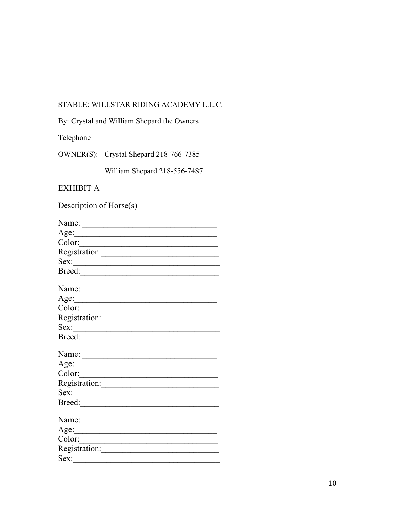# STABLE: WILLSTAR RIDING ACADEMY L.L.C.

By: Crystal and William Shepard the Owners

Telephone

OWNER(S): Crystal Shepard 218-766-7385

William Shepard 218-556-7487

# EXHIBIT A

Description of Horse(s)

| Name: $\frac{1}{\sqrt{1-\frac{1}{2}} \cdot \frac{1}{2}}$                                                                                                                                                                                                                                                                                                                                                                                          |
|---------------------------------------------------------------------------------------------------------------------------------------------------------------------------------------------------------------------------------------------------------------------------------------------------------------------------------------------------------------------------------------------------------------------------------------------------|
| Age:<br><u> 1989 - Johann Barbara, martxa a</u>                                                                                                                                                                                                                                                                                                                                                                                                   |
| Color:                                                                                                                                                                                                                                                                                                                                                                                                                                            |
|                                                                                                                                                                                                                                                                                                                                                                                                                                                   |
| Sex:<br><u> 1980 - Andrea Albert III, martin a bh</u>                                                                                                                                                                                                                                                                                                                                                                                             |
|                                                                                                                                                                                                                                                                                                                                                                                                                                                   |
| Name: $\frac{1}{\sqrt{1-\frac{1}{2}} \cdot \frac{1}{2} \cdot \frac{1}{2} \cdot \frac{1}{2} \cdot \frac{1}{2} \cdot \frac{1}{2} \cdot \frac{1}{2} \cdot \frac{1}{2} \cdot \frac{1}{2} \cdot \frac{1}{2} \cdot \frac{1}{2} \cdot \frac{1}{2} \cdot \frac{1}{2} \cdot \frac{1}{2} \cdot \frac{1}{2} \cdot \frac{1}{2} \cdot \frac{1}{2} \cdot \frac{1}{2} \cdot \frac{1}{2} \cdot \frac{1}{2} \cdot \frac{1}{2} \cdot \frac{1}{2} \cdot \frac{1}{2}$ |
| Age:<br><u> 1989 - Johann John Stone, mensk politik (</u>                                                                                                                                                                                                                                                                                                                                                                                         |
| Color:                                                                                                                                                                                                                                                                                                                                                                                                                                            |
|                                                                                                                                                                                                                                                                                                                                                                                                                                                   |
| Sex:<br><u> 1980 - Andrea Station Barbara, amerikan per</u>                                                                                                                                                                                                                                                                                                                                                                                       |
| Breed:                                                                                                                                                                                                                                                                                                                                                                                                                                            |
| Name: $\frac{1}{\sqrt{1-\frac{1}{2}} \cdot \frac{1}{2}}$                                                                                                                                                                                                                                                                                                                                                                                          |
| Age:<br><u> 1989 - Johann Barn, mars ann an t-</u>                                                                                                                                                                                                                                                                                                                                                                                                |
| Color:                                                                                                                                                                                                                                                                                                                                                                                                                                            |
|                                                                                                                                                                                                                                                                                                                                                                                                                                                   |
| Sex:                                                                                                                                                                                                                                                                                                                                                                                                                                              |
|                                                                                                                                                                                                                                                                                                                                                                                                                                                   |
| Name: $\frac{1}{\sqrt{1-\frac{1}{2}} \cdot \frac{1}{2}}$                                                                                                                                                                                                                                                                                                                                                                                          |
| Age:<br><u> 1989 - Johann Barn, mars eta bainar e</u>                                                                                                                                                                                                                                                                                                                                                                                             |
|                                                                                                                                                                                                                                                                                                                                                                                                                                                   |
| Registration:                                                                                                                                                                                                                                                                                                                                                                                                                                     |
| Sex:                                                                                                                                                                                                                                                                                                                                                                                                                                              |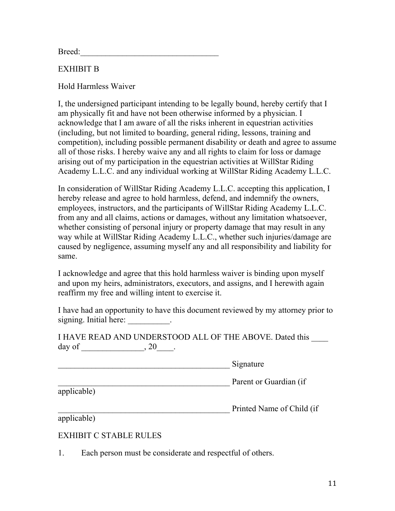Breed:

# EXHIBIT B

Hold Harmless Waiver

I, the undersigned participant intending to be legally bound, hereby certify that I am physically fit and have not been otherwise informed by a physician. I acknowledge that I am aware of all the risks inherent in equestrian activities (including, but not limited to boarding, general riding, lessons, training and competition), including possible permanent disability or death and agree to assume all of those risks. I hereby waive any and all rights to claim for loss or damage arising out of my participation in the equestrian activities at WillStar Riding Academy L.L.C. and any individual working at WillStar Riding Academy L.L.C.

In consideration of WillStar Riding Academy L.L.C. accepting this application, I hereby release and agree to hold harmless, defend, and indemnify the owners, employees, instructors, and the participants of WillStar Riding Academy L.L.C. from any and all claims, actions or damages, without any limitation whatsoever, whether consisting of personal injury or property damage that may result in any way while at WillStar Riding Academy L.L.C., whether such injuries/damage are caused by negligence, assuming myself any and all responsibility and liability for same.

I acknowledge and agree that this hold harmless waiver is binding upon myself and upon my heirs, administrators, executors, and assigns, and I herewith again reaffirm my free and willing intent to exercise it.

I have had an opportunity to have this document reviewed by my attorney prior to signing. Initial here: \_\_\_\_\_\_\_\_\_\_\_.

I HAVE READ AND UNDERSTOOD ALL OF THE ABOVE. Dated this day of \_\_\_\_\_\_\_\_\_\_\_\_\_\_\_, 20\_\_\_\_\_.

\_\_\_\_\_\_\_\_\_\_\_\_\_\_\_\_\_\_\_\_\_\_\_\_\_\_\_\_\_\_\_\_\_\_\_\_\_\_\_\_\_ Signature

**Parent or Guardian (if** 

applicable)

\_\_\_\_\_\_\_\_\_\_\_\_\_\_\_\_\_\_\_\_\_\_\_\_\_\_\_\_\_\_\_\_\_\_\_\_\_\_\_\_\_ Printed Name of Child (if

applicable)

## EXHIBIT C STABLE RULES

1. Each person must be considerate and respectful of others.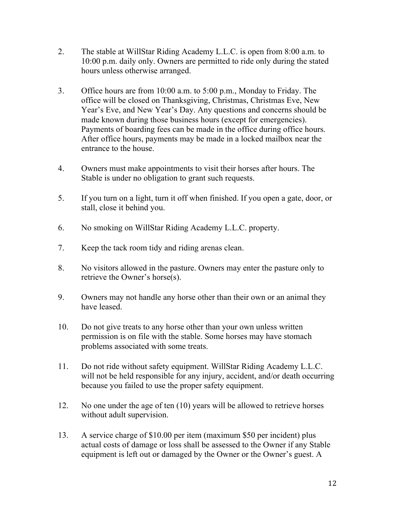- 2. The stable at WillStar Riding Academy L.L.C. is open from 8:00 a.m. to 10:00 p.m. daily only. Owners are permitted to ride only during the stated hours unless otherwise arranged.
- 3. Office hours are from 10:00 a.m. to 5:00 p.m., Monday to Friday. The office will be closed on Thanksgiving, Christmas, Christmas Eve, New Year's Eve, and New Year's Day. Any questions and concerns should be made known during those business hours (except for emergencies). Payments of boarding fees can be made in the office during office hours. After office hours, payments may be made in a locked mailbox near the entrance to the house.
- 4. Owners must make appointments to visit their horses after hours. The Stable is under no obligation to grant such requests.
- 5. If you turn on a light, turn it off when finished. If you open a gate, door, or stall, close it behind you.
- 6. No smoking on WillStar Riding Academy L.L.C. property.
- 7. Keep the tack room tidy and riding arenas clean.
- 8. No visitors allowed in the pasture. Owners may enter the pasture only to retrieve the Owner's horse(s).
- 9. Owners may not handle any horse other than their own or an animal they have leased.
- 10. Do not give treats to any horse other than your own unless written permission is on file with the stable. Some horses may have stomach problems associated with some treats.
- 11. Do not ride without safety equipment. WillStar Riding Academy L.L.C. will not be held responsible for any injury, accident, and/or death occurring because you failed to use the proper safety equipment.
- 12. No one under the age of ten (10) years will be allowed to retrieve horses without adult supervision.
- 13. A service charge of \$10.00 per item (maximum \$50 per incident) plus actual costs of damage or loss shall be assessed to the Owner if any Stable equipment is left out or damaged by the Owner or the Owner's guest. A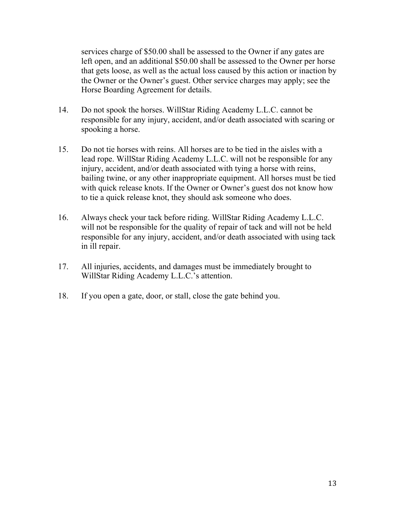services charge of \$50.00 shall be assessed to the Owner if any gates are left open, and an additional \$50.00 shall be assessed to the Owner per horse that gets loose, as well as the actual loss caused by this action or inaction by the Owner or the Owner's guest. Other service charges may apply; see the Horse Boarding Agreement for details.

- 14. Do not spook the horses. WillStar Riding Academy L.L.C. cannot be responsible for any injury, accident, and/or death associated with scaring or spooking a horse.
- 15. Do not tie horses with reins. All horses are to be tied in the aisles with a lead rope. WillStar Riding Academy L.L.C. will not be responsible for any injury, accident, and/or death associated with tying a horse with reins, bailing twine, or any other inappropriate equipment. All horses must be tied with quick release knots. If the Owner or Owner's guest dos not know how to tie a quick release knot, they should ask someone who does.
- 16. Always check your tack before riding. WillStar Riding Academy L.L.C. will not be responsible for the quality of repair of tack and will not be held responsible for any injury, accident, and/or death associated with using tack in ill repair.
- 17. All injuries, accidents, and damages must be immediately brought to WillStar Riding Academy L.L.C.'s attention.
- 18. If you open a gate, door, or stall, close the gate behind you.